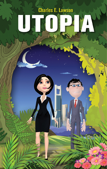# **Charles E. Lawson**  $\int$ TYT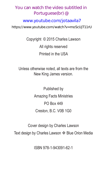# You can watch the video subtitled in Portuguese(br) @ www.youtube.com/jotaavila7<br>https://www.youtube.com/watch?v=moScUjT11rU

Copyright © 2015 Charles Lawson All rights reserved Printed in the USA

Unless otherwise noted, all texts are from the New King James version.

> Published by Amazing Facts Ministries PO Box 449 Creston, B.C. V0B 1G0

Cover design by Charles Lawson Text design by Charles Lawson ❖ Blue Orion Media

ISBN 978-1-943091-62-1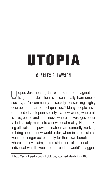# CHARLES E. LAWSON

Utopia. Just hearing the word stirs the imagination.<br>Its general definition is a continually harmonious society, a "a community or society possessing highly desirable or near perfect qualities."1 Many people have dreamed of a utopian society—a new world, where all is love, peace and happiness, where the vestiges of our failed society meld into a new, ideal reality. High-ranking officials from powerful nations are currently working to bring about a new world order, wherein nation states would no longer act primarily for their own benefit, and wherein, they claim, a redistribution of national and individual wealth would bring relief to world's stagger-

<sup>1.</sup> http://en.wikipedia.org/wiki/Utopia, accessed March 23, 2105.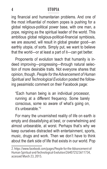ing financial and humanitarian problems. And one of the most influential of modern popes is pushing for a global religious-political power base, with one man, a pope, reigning as the spiritual leader of the world. This ambitious global religious-political-financial symbiosis, we are assured, will result in global greater good—an earthly utopia, of sorts. Simply put, we want to believe that the world—or at least a part of it—*can* get better.

Proponents of evolution teach that humanity is indeed improving—progressing—through natural selection of more desirable traits. Not everyone shares that opinion, though. *People for the Advancement of Human Spiritual and Technological Evolution* posted the following pessimistic comment on their Facebook page:

"Each human being is an individual processor, running at a different frequency. Some barely conscious, some so aware of what's going on, it's unbearable."2

For many the unvarnished reality of life on earth *is*  empty and dissatisfying at best, or overwhelming and almost unbearable, at worst. Perhaps that's why we keep ourselves distracted with entertainment, sports, music, drugs and work. Then we don't have to think about the dark side of life that exists in our world. Pop

<sup>2.</sup> https://www.facebook.com/pages/People-for-the-Advancement-of-Human-Spiritual-and-Technological-Evolution/264072523611734, accessed March 23, 2015.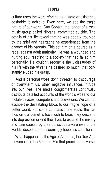culture uses the word *nirvana* as a state of existence desirable to achieve. Even here, we see the tragic nature of our world. Curt Cobain, the leader of a rock music group called Nirvana, committed suicide. The details of his life reveal that he was deeply troubled by the grief and heartache he experienced from the divorce of his parents. This set him on a course as a rebel against adult authority. He was a wounded and hurting soul reacting to a society that had failed him personally. He couldn't reconcile the vicissitudes of his life with the *nirvana* he desired so much, that constantly eluded his grasp.

And if personal woes don't threaten to discourage or overwhelm us, other negative influences intrude into our lives. The media conglomerates continually distribute detailed accounts of the world's woes to our mobile devices, computers and televisions. We cannot escape the devastating blows to our fragile hope of a better world. For some compassionate souls, the pathos on our planet is too much to bear; they descend into depression or end their lives to escape the misery and pain caused by their conscious awareness of the world's desperate and seemingly hopeless condition.

What happened to the Age of Aquarius, the New Age movement of the 60s and 70s that promised universal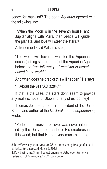peace for mankind? The song *Aquarius* opened with the following line:

 "When the Moon is in the seventh house, and Jupiter aligns with Mars, then peace will guide the planets, and love will steer the stars."3 Astronomer David Williams said,

"The world will have to wait for the Aquarian decan (arising star patterns) of the Aquarian Age before the *true fellowship of mankind is experienced in the world."*

And when does he predict this will happen? He says,

"…About the year AD 3284." <sup>4</sup>

If that is the case, the stars don't seem to provide any realistic hope for Utopia for any of us, do they!

Thomas Jefferson, the third president of the United States and author of the *Declaration of Independence,*  wrote:

"Perfect happiness, I believe, was never intended by the Deity to be the lot of His creatures in this world; but that He has very much put in our

<sup>3.</sup> http://www.elyrics.net/read/0-9/5th-dimension-lyrics/age-of-aquarius-lyrics.html, accessed March 9, 2015.

<sup>4.</sup> David Williams, Simplified Astronomy for Astrologers (American Federation of Astrologers, 1969), pp. 45–56.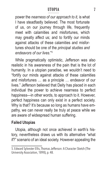power the *nearness of our approach to it,* is what I have steadfastly believed. The most fortunate of us, on our journey through life, frequently meet with calamities and misfortunes, which may greatly affect us; and to fortify our minds against attacks of these calamities and misfortunes should be one of the *principal studies and endeavors of our lives*."5

While pragmatically optimistic, Jefferson was also realistic in his awareness of the pain that is the lot of humanity. In a utopian paradise, we wouldn't need to "fortify our minds against attacks of these calamities and misfortunes … as a principle … endeavor of our lives." Jefferson believed that Deity has placed in each individual the power to achieve nearness to perfect happiness—in other words, to approach to it. However, perfect happiness can only exist in a perfect society. Why is that? It's because so long as humans have empathy, we can never really be truly at peace while we are aware of widespread human suffering.

# **Failed Utopias**

Utopia, although not once achieved in earth's history, nevertheless draws us with its alternative "what if?" scenario of an ideal society. However appealing the

<sup>5.</sup> Edward Sylvester Ellis, Thomas Jefferson: A Character Sketch (The University Association, 1898), p. 48.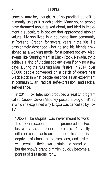concept may be, though, is of no practical benefit to humanity unless it is achievable. Many young people have dreamed about, talked about, and tried to implement a subculture in society that approached utopian values. My son lived in a counter-culture community in Portland, Oregon, for several years in the 90s. He passionately described what he and his friends envisioned as a working model for a perfect society. Also, events like "Burning Man" in Black Rock, Nevada, try to achieve a kind of utopian society, even if only for a few days. During the "Burning Man" festival in 2014, over 65,000 people converged on a patch of desert near Black Rock in what people describe as an experiment in community, art, radical self-expression, and radical self-reliance.

In 2014, Fox Television produced a "reality" program called *Utopia*. Devon Maloney posted a blog on *Wired* in which he explained why *Utopia* was cancelled by Fox TV:

"Utopia, like utopias, was never meant to work. The 'social experiment' that premiered on Fox last week has a fascinating premise—15 vastly different contestants are dropped into an oasis, deprived of almost all possessions, and tasked with creating their own sustainable paradisebut the show's grand gimmick quickly become a portrait of disastrous irony.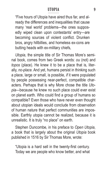"Five hours of Utopia have aired thus far, and already the differences and inequalities that cause many 'real world' problems—the ones supposedly wiped clean upon contestants' entry—are becoming sources of violent conflict. Drunken bros, angry hillbillies, and homeless ex-cons are butting heads with ex-military chiefs,

*Utopia,* the simple title of Sir Thomas More's seminal book, comes from two Greek words: *ou* (not) and *topos* (place). He knew it to be a place that is, literally, *no-place.* And yet, humans persist in thinking such a place, large or small, is possible, *if* it were populated by people possessing near-perfect, compatible characters. Perhaps that is why More chose the title *Utopia—*because he knew no such place could ever exist on planet earth. Who could find a group of humans so compatible? Even those who have never even thought about utopian ideals would conclude from observation of human nature that perfect communities are impossible. Earthly utopia cannot be realized, because it is unrealistic. It is truly "no place" on earth.

Stephen Duncombe, in his preface to *Open Utopia*, a book that is largely about the original *Utopia* book published in 1516 by Sir Thomas More, wrote:

"Utopia is a hard sell in the twenty-first century. Today we are people who know better, and what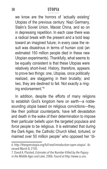we know are the horrors of 'actually existing' Utopias of the previous century: Nazi Germany, Stalin's Soviet Union, Maoist China, and so on in depressing repetition. In each case there was a radical break with the present and a bold leap toward an imagined future; in every case the result was disastrous in terms of human cost (an estimated 150 million people died in these new Utopian experiments). Thankfully, what seems to be equally consistent is that these Utopias were relatively short-lived. History, therefore, appears to prove two things: one, Utopias, once politically realized, are staggering in their brutality; and two, they are destined to fail. Not exactly a ringing endorsement."6

In addition, despite the efforts of many religions to establish God's kingdom here on earth—a noblesounding utopia based on religious convictions—they, like their political counterparts, have left devastation and death in the wake of their determination to impose their particular beliefs upon the targeted populace and *force* people to be religious. It is estimated that during the Dark Ages, the Catholic Church killed, tortured, or maimed over 50 million people<sup>7</sup> who opposed her "di-

<sup>6.</sup> http://theopenutopia.org/full-text/introduction-open-utopia/. Accessed March 8, 2105.

<sup>7.</sup> David A. Plaisted, *Estimates of the Number Killed by the Papacy in the Middle Ages and Later,* 2006. Found at http://www.cs.unc.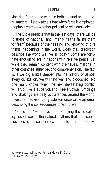vine right" to rule the world in both spiritual and temporal matters. History attests that when force is employed, utopian dreams—whether political or religious—die.

The Bible predicts that in the last days, there will be "distress of nations," and "men's hearts failing them for fear"8 because of their seeing and knowing of dire things happening in the world. Does that prediction describe the world we live in today? Some are fortunate enough to live in nations with relative peace, yet while they remain content with their lives, millions in other countries suffer beyond comprehension. The fact is, if we dig a little deeper into the history of almost every civilization, we will find war and bloodshed. No one really knows when the next devastating conflict will erupt like a supervolcano. Pre-eruption rumblings and shakings are daily occurrences around the world. Investment adviser Larry Edelson once wrote an email describing the consequences of World War III:

"Since the 1980s, I've been studying the so-called 'cycles of war'— the natural rhythms that predispose societies to descend into chaos, into hatred, into civil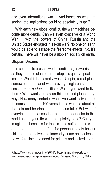and even international war…. And based on what I'm seeing, the implications could be absolutely huge."<sup>9</sup>

With each new global conflict, the war machines become more deadly. Can we even conceive of a World War III, with the powers of China, Russia and the United States engaged in all-out war? No one on earth would be able to escape the fearsome effects. No, it's certain. There will never be a utopian society on earth.

# **Utopian Dreams**

In contrast to present world conditions, as worrisome as they are, the idea of a real utopia is quite appealing, isn't it? What if there really was a Utopia, a real place somewhere off-planet where every single person possessed *near-perfect* qualities? Would you want to live there? Who wants to stay on this doomed planet, anyway? How many centuries would you want to live here? It seems that about 100 years in this world is about all the pain and heartache a human can take! But what if everything that causes that pain and heartache in this world and in your life were completely gone? Can you imagine no hospitals for the sick and suffering, no wars or corporate greed, no fear for personal safety for our children or ourselves, no inner-city crime and violence, no welfare lines, no need for prisons and locked doors,

<sup>9.</sup> http://www.other-news.info/2014/08/top-financial-experts-sayworld-war-3-is-coming-unless-we-stop-it/. Accessed March 23, 2015.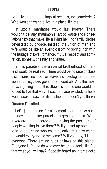no bullying and shootings at schools, no cemeteries? Who wouldn't want to live in a place like that!

In utopia, marriages would last forever. There wouldn't be any matrimonial arctic wastelands or relationships that make life a living hell, no family circles devastated by divorce. Instead, the union of man and wife would be like an ever-blossoming spring, rich with the fruitage of love, romance, mutual respect and admiration, honesty, chastity and virtue.

In this paradise, the universal brotherhood of mankind would be realized. There would be no race or class distinctions, no poor or slave, no ideological oppression and misguided government controls. And the most amazing thing about this Utopia is that no one would be forced to live that way! If such a place existed, millions would seek to secure citizenship there, don't you think?

# **Dreams Derailed**

Let's just imagine for a moment that there *is* such a place—a genuine paradise, a genuine utopia. What if *you* are put in charge of approving the passports of people wanting to live there? Will you set up some criteria to determine who could colonize this new world, or would everyone be welcome? Will you say, "Listen, everyone. There are no rules or laws on this planet. Everyone is free to do whatever he or she feels like." Is that what you will say? If people board an intergalactic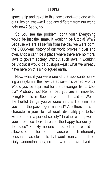space ship and travel to this new planet—the one without rules or laws—will it be any different from our world right now? Sadly, no.

So you see the problem, don't you? Everything would be just the same. It wouldn't be Utopia! Why? Because we are all selfish from the day we were born; the 6,000-year history of our world proves it over and over. Utopia can't be a place where there are no moral laws to govern society. Without such laws, it wouldn't be utopia; it would be dystopia—just what we already have here on this sin-plagued earth.

Now, what if you were one of the applicants seeking an asylum in this new paradise—this perfect world? Would *you* be approved for the passenger list to Utopia? Probably not! Remember, you are an imperfect being! People in Utopia have perfect qualities. Would the hurtful things you've done in this life eliminate you from the passenger manifest? Are there traits of character in your life that would disqualify you to live with others in a perfect society? In other words, would your presence there threaten the happy tranquility of the place? Frankly, no one on planet earth would be allowed to transfer there, because we each inherently possess character traits that would ruin a perfect society. Understandably, no one who has ever lived on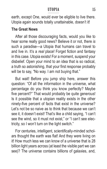earth, except One, would ever be eligible to live there. Utopia again sounds totally unattainable, doesn't it!

# **The Great News**

After all those discouraging facts, would you like to hear some really good news? Believe it or not, there *is* such a paradise—a Utopia that humans can travel to and live in. It's a *real* place! Forget fiction and fantasy in this case. Utopia exists! For a moment, suspend your disbelief. Open your mind to an idea that is so radical, a truth so astonishing, that your first response probably will be to say, "No way. I am not buying that."

But wait! Before you jump ship here, answer this question: "Of all the information in the universe, what percentage do you think you know perfectly? Maybe five percent?" That would probably be quite generous! Is it possible that a utopian reality exists in the other ninety-five percent of facts that exist in the universe? Let's not be so naive as to think that because we can't see it, it doesn't exist! That's like a child saying, "I can't see the wind, so it must not exist," or "I can't see electricity, so I won't turn on the light switch."

For centuries, intelligent, scientifically-minded scholars thought the earth was flat! And they were living on it! How much less we can know of a universe that is 28 billion light years across (at least the visible part we can see)? The universe contains billions of galaxies, and,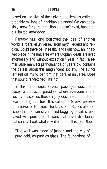based on the size of the universe, scientists estimate probably millions of inhabitable planets! We can't possibly know for sure that Utopia doesn't exist, based on our limited knowledge.

Fantasy has long borrowed the idea of another world, a "parallel universe," from myth, legend and religion. Could there be, in reality and right now, an inhabited place in the universe where utopian ideals are lived effortlessly and without exception? Yes! In fact, a remarkable manuscript thousands of years old contains the details about this magnificent society. The author Himself claims to be from that parallel universe. Does that sound far-fetched? It's not!

In this manuscript, several passages describe a place—a utopia, or paradise, where everyone in that society possesses those highly desirable, perfect (not near-perfect) qualities! It is called, in Greek, *ouranos* (ü-rä-no›s), or Heaven. The Dead Sea Scrolls also describe this utopian city in mind-boggling detail: streets paved with pure gold, flowers that never die, beings that can fly! Look what is written about this real Utopia:

"The wall was made of jasper, and the city of pure gold, as pure as glass. The foundations of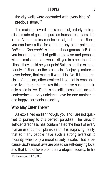the city walls were decorated with every kind of precious stone."10

The main boulevard in this beautiful, orderly metropolis is made of gold, as pure as transparent glass. Life in the African plains can be brutal, but in this Utopia, you can have a lion for a pet, or any other animal on *National Geographic's* ten-most-dangerous list! Can you imagine the thrill of getting up close and personal with animals that here would kill you in a heartbeat? In Utopia they could be your pets! But it is not the external beauty of Utopia, or the prospects of enjoying nature as never before, that makes it what it is. No, it is the principle of genuine, other-centered love that is embraced and lived there that makes this paradise such a desirable place to live. There is no selfishness there, no selfcenteredness—only unfeigned love for one another, in one happy, harmonious society.

# **Who May Enter There?**

As explained earlier, though, you and I are not qualified to journey to this perfect paradise. The virus of self-centeredness has contaminated the heart of every human ever born on planet earth. It is surprising, really, that so many people have such a strong aversion to morality, when only a moral society is safe. That is because God's moral laws are based on self-denying love, and that kind of love promotes a utopian society. In his

<sup>10.</sup> Revelation 21:18 NIV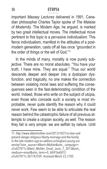important *Massey Lectures* delivered in 1991, Canadian philosopher Charles Taylor spoke of *The Malaise of Modernity*. The Modern Age, he argued, is marked by two great intellectual moves. The intellectual move pertinent to this topic is a *pervasive individualism.* This fierce individualism, manifest in the attitudes of a postmodern generation, casts off all ties once "grounded in the order of things or the will of God."11

In the minds of many, morality is now purely subjective. There are no moral absolutes. "You have your truth; I have mine. They are equal." Thus our world descends deeper and deeper into a dystopian dysfunction, and tragically, no one makes the connection between violating moral laws and suffering the consequences seen in the fast-deteriorating condition of the world. Indeed, those who write on the subject of utopia, even those who concede such a society is most improbable, never quite identify the reason why it could never work. Few seem to be able to articulate the real reason behind the catastrophic failure of all previous attempts to create a utopian society, as well. The reason they fail is very simple: we are selfish by nature. Until

11. http://www.albertmohler.com/2013/10/21/a-clear-andpresent-danger-religious-liberty-marriage-and-the-familyin-the-late-modern-age-an-address-at-brigham-young-university/?utm\_source=Albert+Mohler&utm\_ campaign= a7a427071c-Albert\_Mohler\_Email\_June\_7\_2013&utm\_ medium=email&utm\_term=0\_b041ba0d12 a7a427071c-307743769. Accessed March 23, 2105.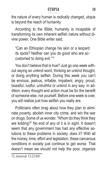the nature of every human is radically changed, utopia is beyond the reach of humanity.

According to the Bible, humanity is incapable of transforming its own inherent selfish nature without divine power. One Bible writer said,

"Can an Ethiopian change his skin or a leopard its spots? Neither can you do good who are accustomed to doing evil."12

You don't believe that is true? Just go one week without saying an unkind word, thinking an unkind thought, or doing anything selfish. During this week you can't be envious, jealous, irritable, impatient, angry, proud, boastful, lustful, untruthful or unkind in any way. In addition, every thought and action must be for the benefit of someone else, not yourself. Before one week is over, you will realize just how selfish you really are.

Politicians often brag about how they plan to eliminate poverty, abolish inner city crime, and win the war on drugs. Some of us wonder, "Whom do they think they are kidding?" No end of any of it is in sight. It doesn't seem that any government has had any effective solutions to these problems in society, does it? With all the money, time, effort and legislation, these cancerous conditions in society just continue to get worse. That doesn't mean we should not help the poor, organize

<sup>12.</sup> Jeremiah 13:23 NIV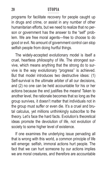# 20 IITOPIA

programs for facilitate recovery for people caught up in drugs and crime, or assist in any number of other humanitarian efforts, but we need to realize that no person or government has the answer to the "self" problem. We are free moral agents—free to choose to do good or evil. No amount of government control can stop selfish people from doing hurtful things.

The widely-accepted evolutionary model is itself a cruel, heartless philosophy of life. The strongest survive, which means anything that the strong do to survive is the way evolutionary "progress" is achieved. But that model introduces two destructive ideas: (1) Self-survival is the ultimate arbiter of all our decisions. and (2) no one can be held accountable for his or her actions because the end justifies the means! Taken to another level, the rationale becomes that so long as the group survives, it doesn't matter that individuals not in the group must suffer or even die. It's a cruel and brutal calculus, yet millions unthinkingly subscribe to the theory. Let's face the hard facts. Evolution's theoretical ideas promote the devolution of life, not evolution of society to some higher level of existence.

If one examines the underlying issue pervading all that is wrong with this world, a common principle of life will emerge: selfish, immoral actions hurt people. The fact that we can hurt someone by our actions implies we are moral creatures, and therefore are accountable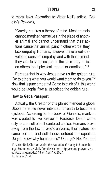to moral laws. According to Victor Nell's article, *Cruelty's Rewards*,

"Cruelty requires a theory of mind. Most animals cannot imagine themselves in the place of another animal and cannot understand that their actions cause that animal pain; in other words, they lack empathy. Humans, however, have a well-developed sense of empathy, and with that in mind, they are fully conscious of the pain they inflict on others, be it physical, mental or emotional."13

Perhaps that is why Jesus gave us the golden rule, "Do to others what you would want them to do to you."14 Now that is pure empathy! Come to think of it, this world would be utopia if we all practiced the golden rule.

# **How to Get a Passport**

Actually, the Creator of this planet intended a global Utopia here. He never intended for earth to become a dystopia. According to the book of Genesis, mankind was created to live forever in Paradise. Death came only as a result of self-centered choice. Humans broke away from the law of God's universe, their nature became corrupt, and selfishness entered the equation. Do you know why humans die? Old age? No. You and

13. Victor Nell, Oh cruel world: the evolution of cruelty in human beings. Submitted by Molly Tamulevich from http://serendip.brynmawr. edu/exchange/node/348, on April 17, 2007. 14. Luke 6:31 NLT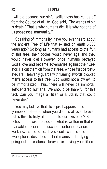# 22 IITOPIA

I will die because our sinful selfishness has cut us off from the Source of all life. God said, "The wages of sin is death." That is why humans die. It is why not one of us possesses immortality.15

Speaking of immortality, have you ever heard about the ancient Tree of Life that existed on earth 6,000 years ago? So long as humans had access to the fruit of this tree, their bodies would never age and they would never die! However, once humans betrayed God's love and became adversaries against their Creator, He cut them off from that tree, whose fruit perpetuated life. Heavenly guards with flaming swords blocked man's access to this tree. God would not allow evil to be immortalized. Thus, there will never be immortal, self-centered humans. We should be thankful for this fact. Can you image a Hitler, or a Stalin, that could never die?

You may believe that life is just happenstance—totally impersonal—and when you die, it's all over forever, but is this life truly all there is to our existence? Some believe otherwise, based on what is written in that remarkable ancient manuscript mentioned earlier, that we know as the Bible. If you could choose one of the two options described in that manuscript—dying and going out of existence forever, or having your life re-

<sup>15.</sup> Romans 6:23 KJV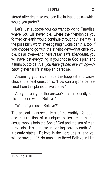stored after death so you can live in that utopia—which would you prefer?

Let's just suppose you *did* want to go to Paradise, where you will never die, where the friendships you formed on earth would continue throughout eternity. Is the possibility worth investigating? Consider this, too: If you choose to go with the atheist view—that once you die, it's all over—and there *really is life after death*, you will have lost everything. If you choose God's plan and it turns out to be true, *you have gained everything—including* eternal life in utopian paradise.

Assuming you have made the happiest and wisest choice, the next question is, "How can anyone be rescued from this planet to live there?"

Are you ready for the answer? It is profoundly simple. Just one word: "Believe."

"What?" you ask. "Believe?"

The ancient manuscript tells of the earthly life, death and resurrection of a unique, sinless man named Jesus, who is both the Son of God and the son of man. It explains His purpose in coming here to earth. And it clearly states, "Believe in the Lord Jesus, and you will be saved...."<sup>16</sup> No ambiguity there! Believe in Him,

<sup>16.</sup> Acts 16:31 NIV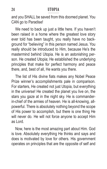and you SHALL be saved from this doomed planet. You CAN go to Paradise!

We need to back up just a little here. If you haven't been raised in a home where the greatest love story ever told has been taught, you really have no background for "believing" in this person named Jesus. You really should be introduced to Him, because He's the mastermind behind Utopia. He is an astonishing person. He created Utopia; He established the underlying principles that make for perfect harmony and peace there, and, best of all, He wants you there.

The list of His divine fiats makes any Nobel Peace Prize winner's accomplishments pale in comparison. For starters, He created not just Utopia, but everything in the universe! He created the planet you live on, the stars you gaze at in the night sky. He is commanderin-chief of the armies of heaven. He is all-knowing, allpowerful. There is absolutely nothing beyond the scope of His power to accomplish, but there is one thing He will never do. He will not force anyone to accept Him as Lord.

Now, here is the most amazing part about Him. God is love. Absolutely everything He thinks and says and does is motivated by love for others. His government operates on principles that are the opposite of self and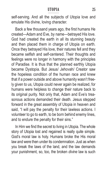self-serving. And all the subjects of Utopia love and emulate His divine, loving character.

Back a few thousand years ago, the first humans He created—Adam and Eve, by name—betrayed His love. God had created the earth in all its stunning beauty and then placed them in charge of Utopia on earth. Once they betrayed His love, their natures fell and they became selfish and self-centered. Their thoughts and feelings were no longer in harmony with the principles of Paradise. It is thus that the planned earthly Utopia became Dystopia. But Jesus/ Jehovah/ Creator saw the hopeless condition of the human race and knew that if a power outside and above humanity wasn't freely given to us, Utopia could never again be realized, for humans were helpless to change their nature back to its original purity. Not only that, Adam and Eve's treasonous actions demanded their death. Jesus stepped forward in the great assembly of Utopia in heaven and said, "I will pay the penalty for their lawless actions. I volunteer to go to earth, to be born behind enemy lines, and to endure the penalty for their sins."

In Him we find the secret to living in Utopia. The whole story of Utopia lost and regained is really quite simple. God's moral law is holy. Humans broke the His moral law and were then under its condemnation. Just as when you break the laws of the land, and the law demands your punishment, so, too, the broken *divine* law is such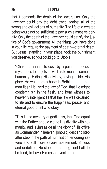that it demands the death of the lawbreaker. Only the Lawgiver could pay the debt owed against all of the wrong and evil actions of humanity. The life of a created being would not be sufficient to pay such a massive penalty. Only the death of the Lawgiver could satisfy the justice of God's government. All the things you have done in your life require the payment of death—eternal death. But Jesus, standing in your place, took the punishment you deserve, so you could go to Utopia.

"Christ, at an infinite cost, by a painful process, mysterious to angels as well as to men, assumed humanity. Hiding His divinity, laying aside His glory, He was born a babe in Bethlehem. In human flesh He lived the law of God, that He might condemn sin in the flesh, and bear witness to heavenly intelligences that the law was ordained to life and to ensure the happiness, peace, and eternal good of all who obey.

"This is the mystery of godliness, that One equal with the Father should clothe His divinity with humanity, and laying aside all the glory of His office as Commander in heaven, [should] descend step after step in the path of humiliation, enduring severe and still more severe abasement. Sinless and undefiled, He stood in the judgment hall, to be tried, to have His case investigated and pro-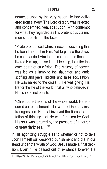nounced upon by the very nation He had delivered from slavery. The Lord of glory was rejected and condemned, yea, spat upon. With contempt for what they regarded as His pretentious claims, men smote Him in the face.

"Pilate pronounced Christ innocent, declaring that he found no fault in Him. Yet to please the Jews, he commanded Him to be scourged and then delivered Him up, bruised and bleeding, to suffer the cruel death of crucifixion. The Majesty of heaven was led as a lamb to the slaughter, and amid scoffing and jeers, ridicule and false accusation, He was nailed to the cross…. He was giving His life for the life of the world, that all who believed in Him should not perish.

"Christ bore the sins of the whole world. He endured our punishment—the wrath of God against transgression. His trial involved the fierce temptation of thinking that He was forsaken by God. His soul was tortured by the pressure of a horror of great darkness…."17

In His agonizing struggle as to whether or not to take upon Himself our deserved punishment and die in our stead under the wrath of God, Jesus made a final decision. Even if He passed out of existence forever, He

<sup>17.</sup> Ellen White, Manuscript 29, March 17, 1899: "Sacrificed for Us."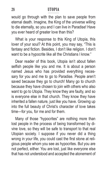would go through with the plan to save people from eternal death. Imagine, the King of the universe willing to die eternally, so you and I can live in Paradise! Have you ever heard of greater love than this?

What is your response to this King of Utopia, this lover of your soul? At this point, you may say, "This is fantasy and fiction. Besides, I don't like religion. I don't want to be a hypocrite like all the Christians I know."

Dear reader of this book, Utopia isn't about fallen selfish people like you and me. It is about a person named Jesus who has provided everything necessary for you and me to go to Paradise. People aren't saved because they go to church! Many go to church because they have chosen to join with others who also want to go to Utopia. They know they are faulty, and so is everyone else in that church. They know they have inherited a fallen nature, just like you have. Growing up into the full beauty of Christ's character of love takes time—for you, for me and for them.

Many of those "hypocrites" are nothing more than lost people in the process of being transformed by divine love, so they will be safe to transport to that real Utopian society. I suppose if you never did a thing wrong in your life, you could cast the first stone at religious people whom you see as hypocrites. But you are not perfect, either. You are lost, just like everyone else that has not understood and accepted the atonement of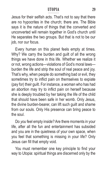Jesus for their selfish acts. That's not to say that there are no hypocrites in the church; there are. The Bible says it is the nature of things that the converted and unconverted will remain together in God's church until He separates the two groups. But that is not to be our job, nor our focus.

Every human on this planet feels empty at times. Why? We carry the burden and guilt of all the wrong things we have done in this life. Whether we realize it or not, wrong actions—violations of God's moral laws burden the life and strip the soul of real peace and joy. That's why, when people do something bad or evil, they sometimes try to inflict pain on themselves to expiate (pay for) their guilt. For instance, a woman who has had an abortion may try to inflict pain on herself because she is deeply troubled by her taking the life of the child that should have been safe in her womb. Only Jesus, the divine burden-bearer, can lift such guilt and shame from our souls. Only His presence can bring peace to the soul.

Do *you* feel empty inside? Are there moments in your life, after all the fun and entertainment has subsided and you are in the quietness of your own space, when you feel that something is missing in your life? Only Jesus can fill that empty void.

You must remember one key principle to find your way to Utopia: spiritual things are discerned only by the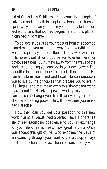aid of God's Holy Spirit. You must come to this topic of salvation and the path to Utopia in a teachable, humble spirit. Only then can you begin your journey to this perfect world, and that journey begins here on this planet. It can begin right now.

To believe in Jesus as your rescuer from this doomed planet means you must turn away from everything that would disqualify you from Utopia. The Law of God permits no evil, selfish or proud person to enter there, for obvious reasons. But turning away from the ways of the world is something you can't do in your own power. The beautiful thing about the Creator of Utopia is that He can transform your mind and heart. He can empower you to live by the principles that prepare you to live in His Utopia, and that make even this sin-stricken world more beautiful. His divine power, working in your heart, can radically change your life. If you yield your life to His divine healing power, He will make sure you make it to Paradise.

How then can you get your passport to this new world? Simple. Jesus lived a perfect life. He offers His life of self-sacrificing obedience to you, in exchange for your life of selfishness. How great is that? Once you accept this gift of life, God exposes the virus of sin coursing through your soul to the ultra-quiet rays of His perfection and love. The infectious, deadly virus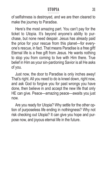of selfishness is destroyed, and we are then cleared to make the journey to Paradise.

Here's the most amazing part. You can't pay for the ticket to Utopia. It's beyond anyone's ability to purchase, but none need despair. Jesus has already paid the price for your rescue from this planet—for everyone's rescue, in fact. That means Paradise is a free gift! Eternal life is a free gift from Jesus. He wants nothing to stop you from coming to live with Him there. True belief in Him as your sin-pardoning Savior is all He asks of you.

Just now, the door to Paradise is only inches away! That's right. All you need to do is kneel down, right now, and ask God to forgive you for past wrongs you have done, then believe in and accept the new life that only HE can give. Peace—amazing peace—awaits you just now.

Are you ready for Utopia? Why settle for the other option of purposeless life ending in nothingness? Why not risk checking out Utopia? It can give you hope and purpose now, and joyous eternal life in the future.